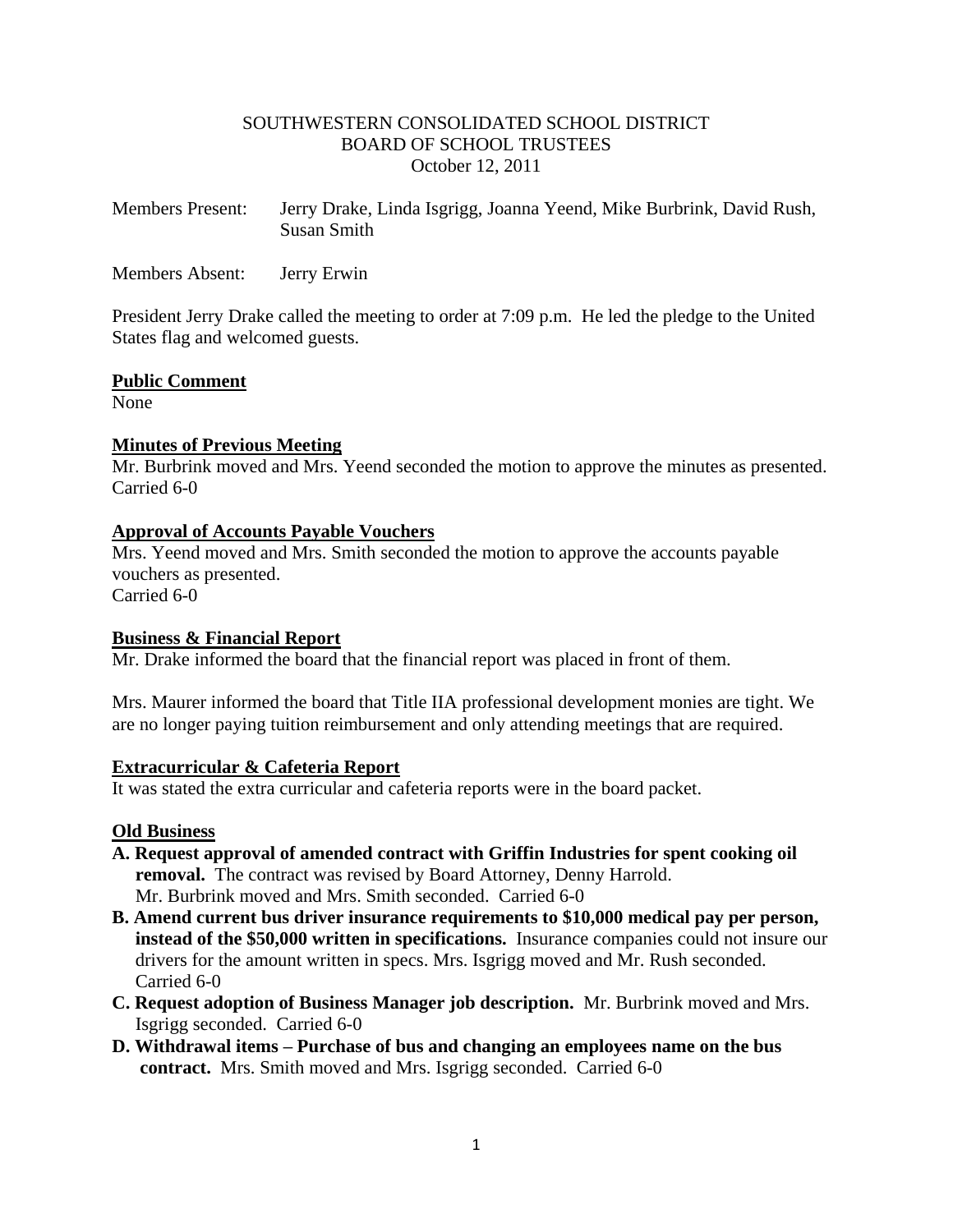### SOUTHWESTERN CONSOLIDATED SCHOOL DISTRICT BOARD OF SCHOOL TRUSTEES October 12, 2011

| <b>Members Present:</b> | Jerry Drake, Linda Isgrigg, Joanna Yeend, Mike Burbrink, David Rush, |
|-------------------------|----------------------------------------------------------------------|
|                         | Susan Smith                                                          |

Members Absent: Jerry Erwin

President Jerry Drake called the meeting to order at 7:09 p.m. He led the pledge to the United States flag and welcomed guests.

## **Public Comment**

None

## **Minutes of Previous Meeting**

Mr. Burbrink moved and Mrs. Yeend seconded the motion to approve the minutes as presented. Carried 6-0

## **Approval of Accounts Payable Vouchers**

Mrs. Yeend moved and Mrs. Smith seconded the motion to approve the accounts payable vouchers as presented.

Carried 6-0

# **Business & Financial Report**

Mr. Drake informed the board that the financial report was placed in front of them.

Mrs. Maurer informed the board that Title IIA professional development monies are tight. We are no longer paying tuition reimbursement and only attending meetings that are required.

### **Extracurricular & Cafeteria Report**

It was stated the extra curricular and cafeteria reports were in the board packet.

### **Old Business**

- **A. Request approval of amended contract with Griffin Industries for spent cooking oil removal.** The contract was revised by Board Attorney, Denny Harrold. Mr. Burbrink moved and Mrs. Smith seconded. Carried 6-0
- **B. Amend current bus driver insurance requirements to \$10,000 medical pay per person, instead of the \$50,000 written in specifications.** Insurance companies could not insure our drivers for the amount written in specs. Mrs. Isgrigg moved and Mr. Rush seconded. Carried 6-0
- **C. Request adoption of Business Manager job description.** Mr. Burbrink moved and Mrs. Isgrigg seconded. Carried 6-0
- **D. Withdrawal items – Purchase of bus and changing an employees name on the bus contract.** Mrs. Smith moved and Mrs. Isgrigg seconded. Carried 6-0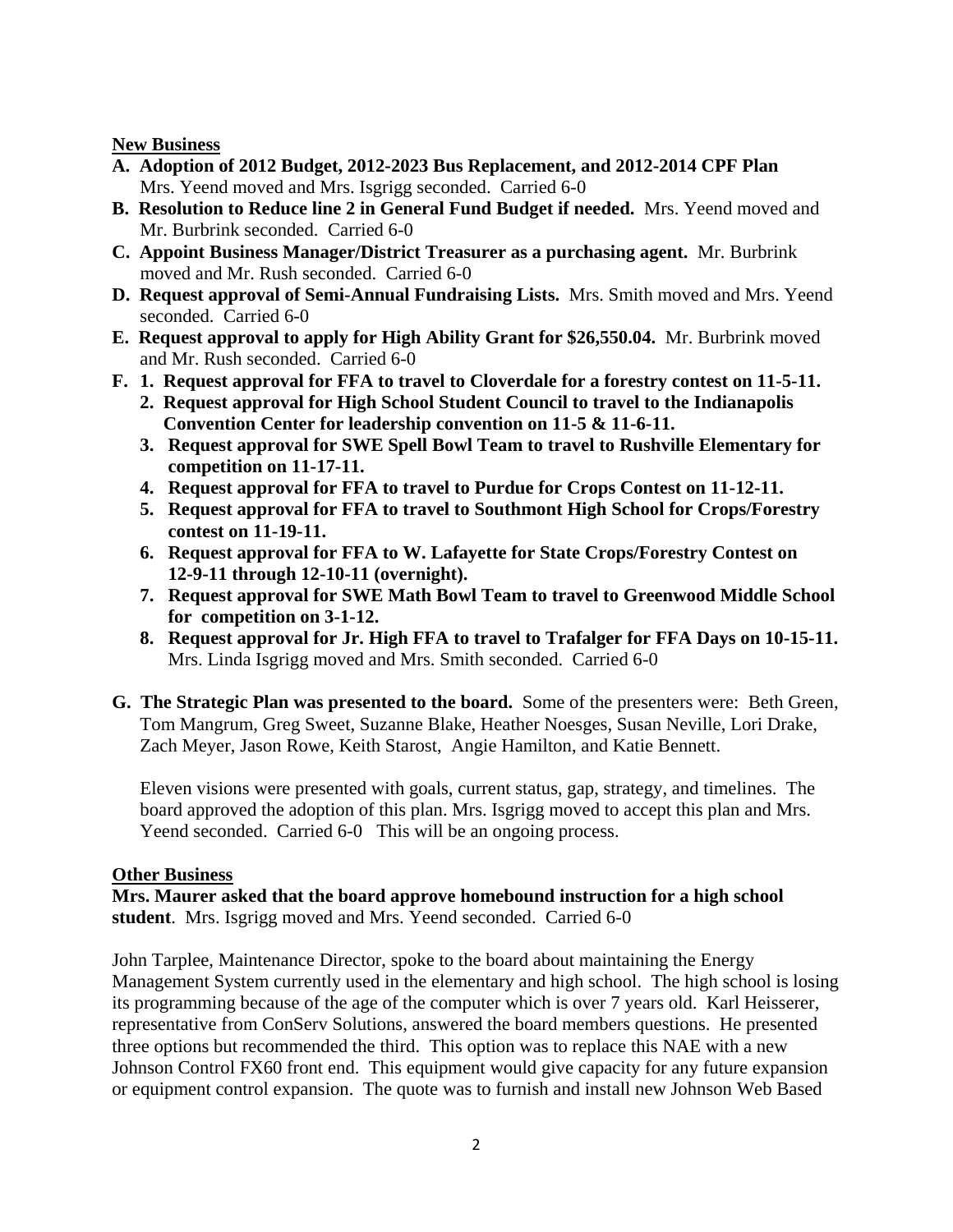**New Business**

- **A. Adoption of 2012 Budget, 2012-2023 Bus Replacement, and 2012-2014 CPF Plan** Mrs. Yeend moved and Mrs. Isgrigg seconded. Carried 6-0
- **B. Resolution to Reduce line 2 in General Fund Budget if needed.** Mrs. Yeend moved and Mr. Burbrink seconded. Carried 6-0
- **C. Appoint Business Manager/District Treasurer as a purchasing agent.** Mr. Burbrink moved and Mr. Rush seconded. Carried 6-0
- **D. Request approval of Semi-Annual Fundraising Lists.** Mrs. Smith moved and Mrs. Yeend seconded. Carried 6-0
- **E. Request approval to apply for High Ability Grant for \$26,550.04.** Mr. Burbrink moved and Mr. Rush seconded. Carried 6-0
- **F. 1. Request approval for FFA to travel to Cloverdale for a forestry contest on 11-5-11. 2. Request approval for High School Student Council to travel to the Indianapolis Convention Center for leadership convention on 11-5 & 11-6-11.**
	- **3. Request approval for SWE Spell Bowl Team to travel to Rushville Elementary for competition on 11-17-11.**
	- **4. Request approval for FFA to travel to Purdue for Crops Contest on 11-12-11.**
	- **5. Request approval for FFA to travel to Southmont High School for Crops/Forestry contest on 11-19-11.**
	- **6. Request approval for FFA to W. Lafayette for State Crops/Forestry Contest on 12-9-11 through 12-10-11 (overnight).**
	- **7. Request approval for SWE Math Bowl Team to travel to Greenwood Middle School for competition on 3-1-12.**
	- **8. Request approval for Jr. High FFA to travel to Trafalger for FFA Days on 10-15-11.** Mrs. Linda Isgrigg moved and Mrs. Smith seconded. Carried 6-0
- **G. The Strategic Plan was presented to the board.** Some of the presenters were: Beth Green, Tom Mangrum, Greg Sweet, Suzanne Blake, Heather Noesges, Susan Neville, Lori Drake, Zach Meyer, Jason Rowe, Keith Starost, Angie Hamilton, and Katie Bennett.

Eleven visions were presented with goals, current status, gap, strategy, and timelines. The board approved the adoption of this plan. Mrs. Isgrigg moved to accept this plan and Mrs. Yeend seconded. Carried 6-0 This will be an ongoing process.

### **Other Business**

**Mrs. Maurer asked that the board approve homebound instruction for a high school student**. Mrs. Isgrigg moved and Mrs. Yeend seconded. Carried 6-0

John Tarplee, Maintenance Director, spoke to the board about maintaining the Energy Management System currently used in the elementary and high school. The high school is losing its programming because of the age of the computer which is over 7 years old. Karl Heisserer, representative from ConServ Solutions, answered the board members questions. He presented three options but recommended the third. This option was to replace this NAE with a new Johnson Control FX60 front end. This equipment would give capacity for any future expansion or equipment control expansion. The quote was to furnish and install new Johnson Web Based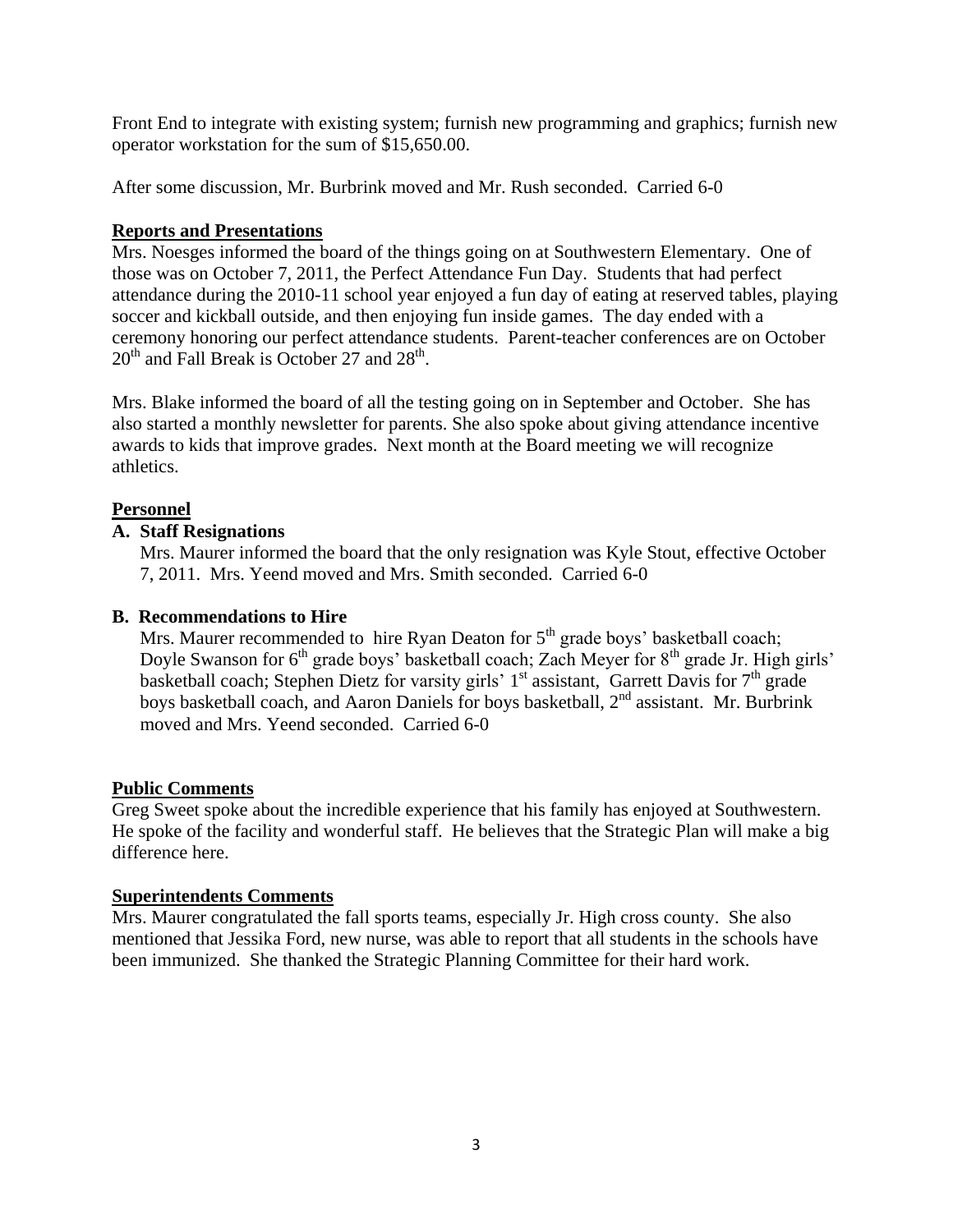Front End to integrate with existing system; furnish new programming and graphics; furnish new operator workstation for the sum of \$15,650.00.

After some discussion, Mr. Burbrink moved and Mr. Rush seconded. Carried 6-0

# **Reports and Presentations**

Mrs. Noesges informed the board of the things going on at Southwestern Elementary. One of those was on October 7, 2011, the Perfect Attendance Fun Day. Students that had perfect attendance during the 2010-11 school year enjoyed a fun day of eating at reserved tables, playing soccer and kickball outside, and then enjoying fun inside games. The day ended with a ceremony honoring our perfect attendance students. Parent-teacher conferences are on October  $20<sup>th</sup>$  and Fall Break is October 27 and  $28<sup>th</sup>$ .

Mrs. Blake informed the board of all the testing going on in September and October. She has also started a monthly newsletter for parents. She also spoke about giving attendance incentive awards to kids that improve grades. Next month at the Board meeting we will recognize athletics.

# **Personnel**

## **A. Staff Resignations**

 Mrs. Maurer informed the board that the only resignation was Kyle Stout, effective October 7, 2011. Mrs. Yeend moved and Mrs. Smith seconded. Carried 6-0

### **B. Recommendations to Hire**

Mrs. Maurer recommended to hire Ryan Deaton for  $5<sup>th</sup>$  grade boys' basketball coach; Doyle Swanson for  $6<sup>th</sup>$  grade boys' basketball coach; Zach Meyer for  $8<sup>th</sup>$  grade Jr. High girls' basketball coach; Stephen Dietz for varsity girls'  $1<sup>st</sup>$  assistant, Garrett Davis for  $7<sup>th</sup>$  grade boys basketball coach, and Aaron Daniels for boys basketball,  $2<sup>nd</sup>$  assistant. Mr. Burbrink moved and Mrs. Yeend seconded. Carried 6-0

# **Public Comments**

Greg Sweet spoke about the incredible experience that his family has enjoyed at Southwestern. He spoke of the facility and wonderful staff. He believes that the Strategic Plan will make a big difference here.

### **Superintendents Comments**

Mrs. Maurer congratulated the fall sports teams, especially Jr. High cross county. She also mentioned that Jessika Ford, new nurse, was able to report that all students in the schools have been immunized. She thanked the Strategic Planning Committee for their hard work.